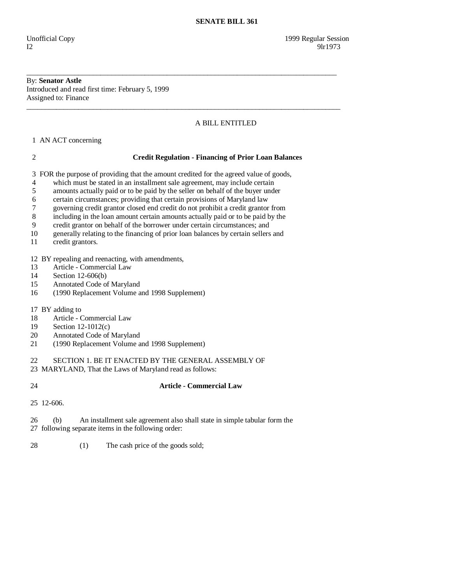#### By: **Senator Astle**  Introduced and read first time: February 5, 1999 Assigned to: Finance

# A BILL ENTITLED

1 AN ACT concerning

## 2 **Credit Regulation - Financing of Prior Loan Balances**

3 FOR the purpose of providing that the amount credited for the agreed value of goods,

\_\_\_\_\_\_\_\_\_\_\_\_\_\_\_\_\_\_\_\_\_\_\_\_\_\_\_\_\_\_\_\_\_\_\_\_\_\_\_\_\_\_\_\_\_\_\_\_\_\_\_\_\_\_\_\_\_\_\_\_\_\_\_\_\_\_\_\_\_\_\_\_\_\_\_\_\_\_\_\_\_\_\_\_

\_\_\_\_\_\_\_\_\_\_\_\_\_\_\_\_\_\_\_\_\_\_\_\_\_\_\_\_\_\_\_\_\_\_\_\_\_\_\_\_\_\_\_\_\_\_\_\_\_\_\_\_\_\_\_\_\_\_\_\_\_\_\_\_\_\_\_\_\_\_\_\_\_\_\_\_\_\_\_\_\_\_\_\_\_

- 4 which must be stated in an installment sale agreement, may include certain
- 5 amounts actually paid or to be paid by the seller on behalf of the buyer under
- 6 certain circumstances; providing that certain provisions of Maryland law
- 7 governing credit grantor closed end credit do not prohibit a credit grantor from
- 8 including in the loan amount certain amounts actually paid or to be paid by the
- 9 credit grantor on behalf of the borrower under certain circumstances; and
- 10 generally relating to the financing of prior loan balances by certain sellers and
- 11 credit grantors.

12 BY repealing and reenacting, with amendments,

- 13 Article Commercial Law<br>14 Section 12-606(b)
- Section 12-606(b)
- 15 Annotated Code of Maryland
- 16 (1990 Replacement Volume and 1998 Supplement)
- 17 BY adding to
- 18 Article Commercial Law
- 19 Section 12-1012(c)
- 20 Annotated Code of Maryland
- 21 (1990 Replacement Volume and 1998 Supplement)

22 SECTION 1. BE IT ENACTED BY THE GENERAL ASSEMBLY OF

- 23 MARYLAND, That the Laws of Maryland read as follows:
- 

## 24 **Article - Commercial Law**

25 12-606.

 26 (b) An installment sale agreement also shall state in simple tabular form the 27 following separate items in the following order:

28 (1) The cash price of the goods sold;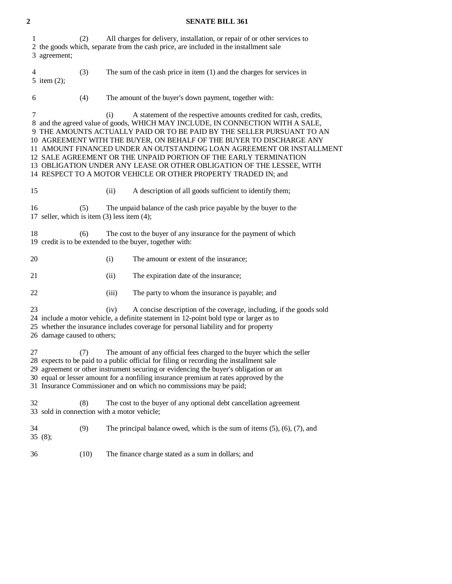# **2 SENATE BILL 361**

| 1<br>3 agreement;                                                                                                                                                                                                                                                                                                                                                                                                                   | (2)                                                                                                                                                                                                                                                                                        |       | All charges for delivery, installation, or repair of or other services to<br>2 the goods which, separate from the cash price, are included in the installment sale                                                                                                                                                                                                                                                                                                                                                                                                                            |
|-------------------------------------------------------------------------------------------------------------------------------------------------------------------------------------------------------------------------------------------------------------------------------------------------------------------------------------------------------------------------------------------------------------------------------------|--------------------------------------------------------------------------------------------------------------------------------------------------------------------------------------------------------------------------------------------------------------------------------------------|-------|-----------------------------------------------------------------------------------------------------------------------------------------------------------------------------------------------------------------------------------------------------------------------------------------------------------------------------------------------------------------------------------------------------------------------------------------------------------------------------------------------------------------------------------------------------------------------------------------------|
| 4<br>5 item $(2)$ ;                                                                                                                                                                                                                                                                                                                                                                                                                 | (3)                                                                                                                                                                                                                                                                                        |       | The sum of the cash price in item $(1)$ and the charges for services in                                                                                                                                                                                                                                                                                                                                                                                                                                                                                                                       |
| 6                                                                                                                                                                                                                                                                                                                                                                                                                                   | (4)                                                                                                                                                                                                                                                                                        |       | The amount of the buyer's down payment, together with:                                                                                                                                                                                                                                                                                                                                                                                                                                                                                                                                        |
| 7                                                                                                                                                                                                                                                                                                                                                                                                                                   |                                                                                                                                                                                                                                                                                            | (i)   | A statement of the respective amounts credited for cash, credits,<br>8 and the agreed value of goods, WHICH MAY INCLUDE, IN CONNECTION WITH A SALE,<br>9 THE AMOUNTS ACTUALLY PAID OR TO BE PAID BY THE SELLER PURSUANT TO AN<br>10 AGREEMENT WITH THE BUYER, ON BEHALF OF THE BUYER TO DISCHARGE ANY<br>11 AMOUNT FINANCED UNDER AN OUTSTANDING LOAN AGREEMENT OR INSTALLMENT<br>12 SALE AGREEMENT OR THE UNPAID PORTION OF THE EARLY TERMINATION<br>13 OBLIGATION UNDER ANY LEASE OR OTHER OBLIGATION OF THE LESSEE, WITH<br>14 RESPECT TO A MOTOR VEHICLE OR OTHER PROPERTY TRADED IN; and |
| 15                                                                                                                                                                                                                                                                                                                                                                                                                                  |                                                                                                                                                                                                                                                                                            | (ii)  | A description of all goods sufficient to identify them;                                                                                                                                                                                                                                                                                                                                                                                                                                                                                                                                       |
| 16<br>17 seller, which is item $(3)$ less item $(4)$ ;                                                                                                                                                                                                                                                                                                                                                                              | (5)                                                                                                                                                                                                                                                                                        |       | The unpaid balance of the cash price payable by the buyer to the                                                                                                                                                                                                                                                                                                                                                                                                                                                                                                                              |
| 18<br>The cost to the buyer of any insurance for the payment of which<br>(6)<br>19 credit is to be extended to the buyer, together with:                                                                                                                                                                                                                                                                                            |                                                                                                                                                                                                                                                                                            |       |                                                                                                                                                                                                                                                                                                                                                                                                                                                                                                                                                                                               |
| 20                                                                                                                                                                                                                                                                                                                                                                                                                                  |                                                                                                                                                                                                                                                                                            | (i)   | The amount or extent of the insurance;                                                                                                                                                                                                                                                                                                                                                                                                                                                                                                                                                        |
| 21                                                                                                                                                                                                                                                                                                                                                                                                                                  |                                                                                                                                                                                                                                                                                            | (ii)  | The expiration date of the insurance;                                                                                                                                                                                                                                                                                                                                                                                                                                                                                                                                                         |
| 22                                                                                                                                                                                                                                                                                                                                                                                                                                  |                                                                                                                                                                                                                                                                                            | (iii) | The party to whom the insurance is payable; and                                                                                                                                                                                                                                                                                                                                                                                                                                                                                                                                               |
| 23                                                                                                                                                                                                                                                                                                                                                                                                                                  | A concise description of the coverage, including, if the goods sold<br>(iv)<br>24 include a motor vehicle, a definite statement in 12-point bold type or larger as to<br>25 whether the insurance includes coverage for personal liability and for property<br>26 damage caused to others; |       |                                                                                                                                                                                                                                                                                                                                                                                                                                                                                                                                                                                               |
| The amount of any official fees charged to the buyer which the seller<br>27<br>(7)<br>28 expects to be paid to a public official for filing or recording the installment sale<br>29 agreement or other instrument securing or evidencing the buyer's obligation or an<br>30 equal or lesser amount for a nonfiling insurance premium at rates approved by the<br>31 Insurance Commissioner and on which no commissions may be paid; |                                                                                                                                                                                                                                                                                            |       |                                                                                                                                                                                                                                                                                                                                                                                                                                                                                                                                                                                               |
| 32<br>33 sold in connection with a motor vehicle;                                                                                                                                                                                                                                                                                                                                                                                   | (8)                                                                                                                                                                                                                                                                                        |       | The cost to the buyer of any optional debt cancellation agreement                                                                                                                                                                                                                                                                                                                                                                                                                                                                                                                             |
| 34<br>35(8);                                                                                                                                                                                                                                                                                                                                                                                                                        | (9)                                                                                                                                                                                                                                                                                        |       | The principal balance owed, which is the sum of items $(5)$ , $(6)$ , $(7)$ , and                                                                                                                                                                                                                                                                                                                                                                                                                                                                                                             |
| 36                                                                                                                                                                                                                                                                                                                                                                                                                                  | (10)                                                                                                                                                                                                                                                                                       |       | The finance charge stated as a sum in dollars; and                                                                                                                                                                                                                                                                                                                                                                                                                                                                                                                                            |